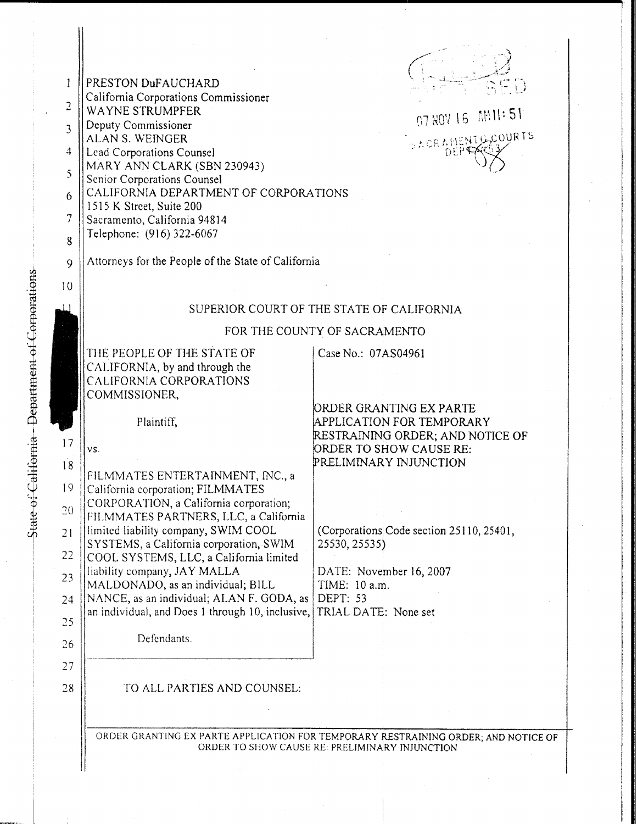| 1<br>$\overline{2}$<br>$\overline{3}$<br>$\overline{4}$<br>5<br>6<br>7<br>8 | PRESTON DuFAUCHARD<br>California Corporations Commissioner<br>WAYNE STRUMPFER<br>Deputy Commissioner<br><b>ALAN S. WEINGER</b><br>Lead Corporations Counsel<br>MARY ANN CLARK (SBN 230943)<br>Senior Corporations Counsel<br>CALIFORNIA DEPARTMENT OF CORPORATIONS<br>1515 K Street, Suite 200<br>Sacramento, California 94814<br>Telephone: (916) 322-6067 | 07 HOY 16 AM 11: 51<br>SACRAMENTO COURTS                                                                                                      |
|-----------------------------------------------------------------------------|-------------------------------------------------------------------------------------------------------------------------------------------------------------------------------------------------------------------------------------------------------------------------------------------------------------------------------------------------------------|-----------------------------------------------------------------------------------------------------------------------------------------------|
| 9                                                                           | Attorneys for the People of the State of California                                                                                                                                                                                                                                                                                                         |                                                                                                                                               |
| 10                                                                          |                                                                                                                                                                                                                                                                                                                                                             |                                                                                                                                               |
|                                                                             | SUPERIOR COURT OF THE STATE OF CALIFORNIA                                                                                                                                                                                                                                                                                                                   |                                                                                                                                               |
|                                                                             | FOR THE COUNTY OF SACRAMENTO                                                                                                                                                                                                                                                                                                                                |                                                                                                                                               |
|                                                                             | THE PEOPLE OF THE STATE OF<br>CALIFORNIA, by and through the<br>CALIFORNIA CORPORATIONS<br>COMMISSIONER,                                                                                                                                                                                                                                                    | Case No.: 07AS04961                                                                                                                           |
| 17<br>18                                                                    | Plaintiff,<br>VS.                                                                                                                                                                                                                                                                                                                                           | ORDER GRANTING EX PARTE<br>APPLICATION FOR TEMPORARY<br>RESTRAINING ORDER; AND NOTICE OF<br>ORDER TO SHOW CAUSE RE:<br>PRELIMINARY INJUNCTION |
| 19<br>$\overline{20}$                                                       | FILMMATES ENTERTAINMENT, INC., a<br>California corporation; FILMMATES<br>CORPORATION, a California corporation;<br>FILMMATES PARTNERS, LLC, a California                                                                                                                                                                                                    |                                                                                                                                               |
| 21<br>22                                                                    | limited liability company, SWIM COOL<br>SYSTEMS, a California corporation, SWIM<br>COOL SYSTEMS, LLC, a California limited                                                                                                                                                                                                                                  | (Corporations Code section 25110, 25401,<br>25530, 25535)                                                                                     |
| 23                                                                          | liability company, JAY MALLA<br>MALDONADO, as an individual; BILL                                                                                                                                                                                                                                                                                           | DATE: November 16, 2007<br>TIME: 10 a.m.                                                                                                      |
| 24<br>25                                                                    | NANCE, as an individual; ALAN F. GODA, as<br>an individual, and Does 1 through 10, inclusive,                                                                                                                                                                                                                                                               | DEPT: 53<br>TRIAL DATE: None set                                                                                                              |
| 26                                                                          | Defendants.                                                                                                                                                                                                                                                                                                                                                 |                                                                                                                                               |
| 27                                                                          |                                                                                                                                                                                                                                                                                                                                                             |                                                                                                                                               |
| 28                                                                          | TO ALL PARTIES AND COUNSEL:                                                                                                                                                                                                                                                                                                                                 |                                                                                                                                               |
|                                                                             |                                                                                                                                                                                                                                                                                                                                                             | ORDER GRANTING EX PARTE APPLICATION FOR TEMPORARY RESTRAINING ORDER; AND NOTICE OF<br>ORDER TO SHOW CAUSE RE: PRELIMINARY INJUNCTION          |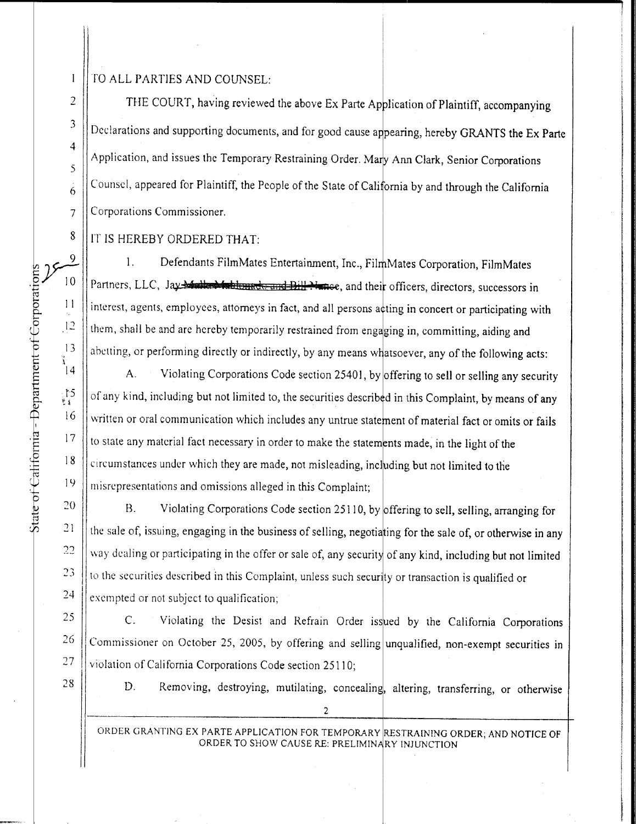## TO ALL PARTIES AND COUNSEL:

THE COURT, having reviewed the above Ex Parte Application of Plaintiff, accompanying  $\frac{3}{10}$  Declarations and supporting documents, and for good cause appearing, hereby GRANTS the Ex Parte Application, and issues the Temporary Restraining Order. Mary Ann Clark, Senior Corporations Counsel, appeared for Plaintiff, the People of the State of California by and through the California Corporations Commissioner.

8 || IT IS HEREBY ORDERED THAT:

1. Defendants FilmMates Entertainment, Inc., FilmMates Corporation, FilmMates 10 | Partners, LLC, Jay Multed to blamed and Bill Finnee, and their officers, directors, successors in interest, agents, employees, attorneys in fact, and all persons acting in concert or participating with them, shall be and are hereby temporarily restrained from engaging in, committing, aiding and abetting, or performing directly or indirectly, by any means whatsoever, any of the following acts:

A. Violating Corporations Code section 25401, by offering to sell or selling any security of any kind, including but not limited to, the securities described in this Complaint, by means of any  $16$  W written or oral communication which includes any untrue statement of material fact or omits or fails  $17$  || to state any material fact necessary in order to make the statements made, in the light of the  $\frac{18}{\text{c}}$  circumstances under which they are made, not misleading, including but not limited to the 19 | misrepresentations and omissions alleged in this Complaint; For California California California - Dependent of Corporations Corporations, Fundations of Corporations in the corporations and the corporations and the corporations and the sale of the following acts:<br>
11 the m, shall

 || B. Violating Corporations Code section 25110, by offering to sell, selling, arranging for  $\parallel$  way dealing or participating in the offer or sale of, any security of any kind, including but not limited || to the securities described in this Complaint, unless such security or transaction is qualified or | exempted or not subject to qualification;

25 | C. Violating the Desist and Refrain Order issued by the California Corporations  $26$  | Commissioner on October 25, 2005, by offering and selling unqualified, non-exempt securities in  $27$  Violation of California Corporations Code section 25110;

28 | D. Removing, destroying, mutilating, concealing, altering, transferring, or otherwise

ORDER GRANTING EX PARTE APPLICATION FOR TEMPORARY RESTRAINING ORDER; AND NOTICE OF ORDER TO SHOW CAUSE RE: PRELIMINARY INJUNCTION

2

 $\mathbf{I}$ 

2

 $\ddot{4}$ 

5

6

 $\overline{7}$ 

9

 $11$ 

 $12$ 

 $13$  $\frac{3}{14}$ 

 $\frac{15}{11}$